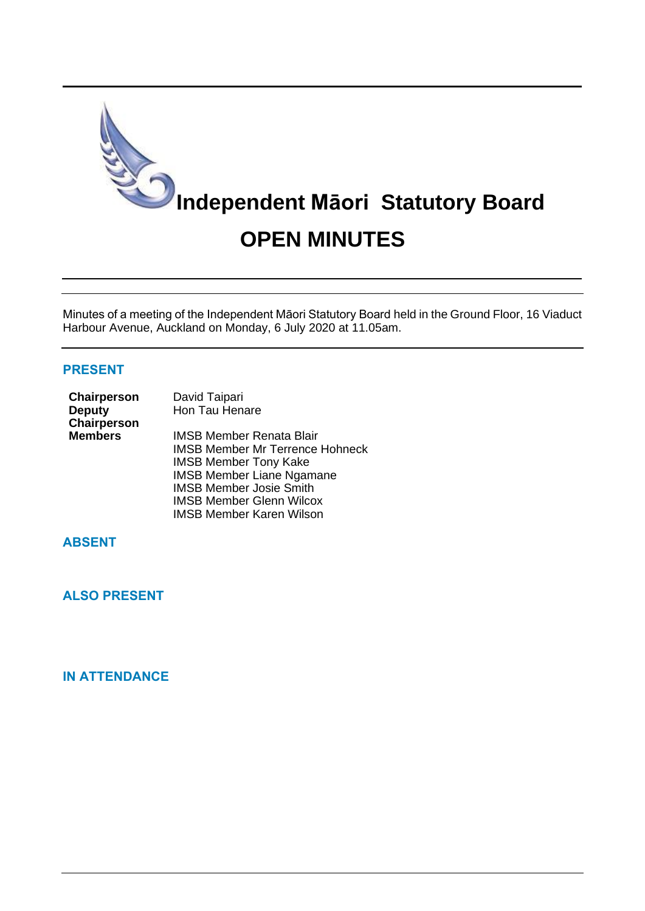

Minutes of a meeting of the Independent Māori Statutory Board held in the Ground Floor, 16 Viaduct Harbour Avenue, Auckland on Monday, 6 July 2020 at 11.05am.

#### **PRESENT**

| Chairperson<br><b>Deputy</b><br>Chairperson | David Taipari<br>Hon Tau Henare                                                                                                                                                                                    |
|---------------------------------------------|--------------------------------------------------------------------------------------------------------------------------------------------------------------------------------------------------------------------|
| <b>Members</b>                              | <b>IMSB Member Renata Blair</b><br><b>IMSB Member Mr Terrence Hohneck</b><br><b>IMSB Member Tony Kake</b><br><b>IMSB Member Liane Ngamane</b><br><b>IMSB Member Josie Smith</b><br><b>IMSB Member Glenn Wilcox</b> |

IMSB Member Karen Wilson

# **ABSENT**

**ALSO PRESENT**

## **IN ATTENDANCE**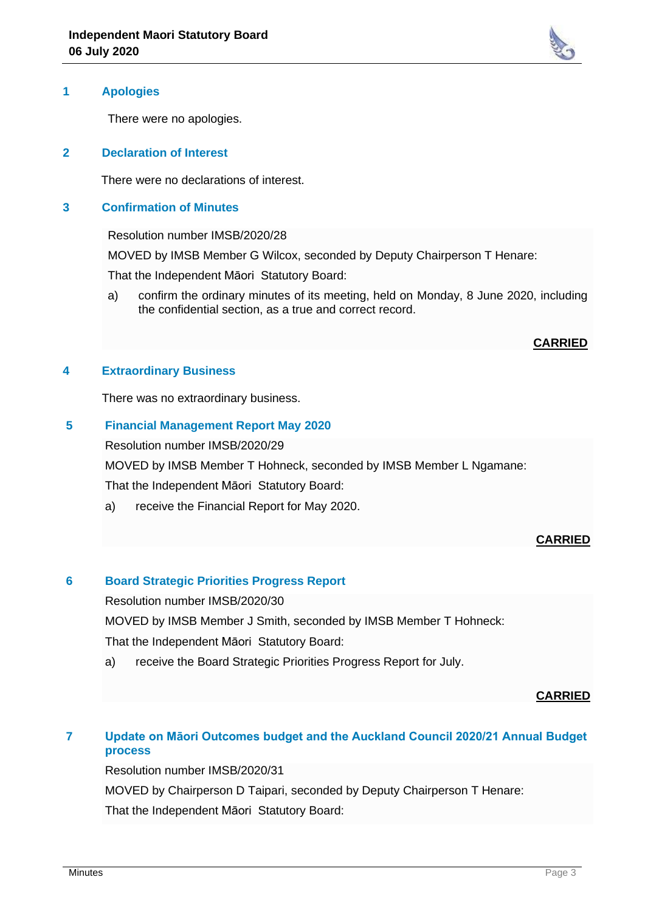

### **1 Apologies**

There were no apologies.

#### **2 Declaration of Interest**

There were no declarations of interest.

#### **3 Confirmation of Minutes**

Resolution number IMSB/2020/28

MOVED by IMSB Member G Wilcox, seconded by Deputy Chairperson T Henare:

That the Independent Māori Statutory Board:

a) confirm the ordinary minutes of its meeting, held on Monday, 8 June 2020, including the confidential section, as a true and correct record.

### **CARRIED**

#### **4 Extraordinary Business**

There was no extraordinary business.

## **5 Financial Management Report May 2020**

Resolution number IMSB/2020/29

MOVED by IMSB Member T Hohneck, seconded by IMSB Member L Ngamane:

That the Independent Māori Statutory Board:

a) receive the Financial Report for May 2020.

### **CARRIED**

### **6 Board Strategic Priorities Progress Report**

Resolution number IMSB/2020/30

MOVED by IMSB Member J Smith, seconded by IMSB Member T Hohneck:

That the Independent Māori Statutory Board:

a) receive the Board Strategic Priorities Progress Report for July.

### **CARRIED**

# **7 Update on Māori Outcomes budget and the Auckland Council 2020/21 Annual Budget process**

Resolution number IMSB/2020/31

MOVED by Chairperson D Taipari, seconded by Deputy Chairperson T Henare:

That the Independent Māori Statutory Board: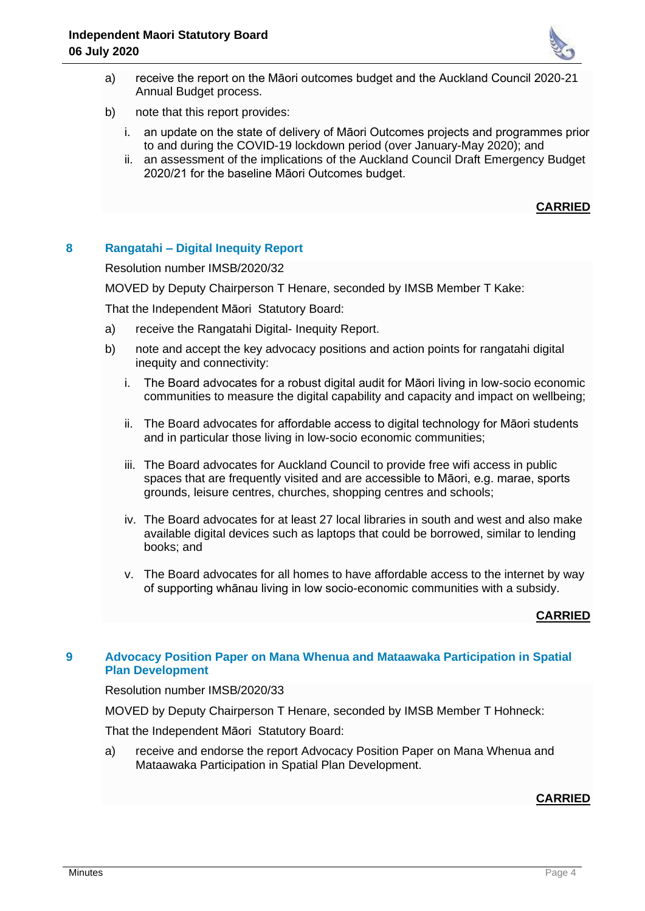

- a) receive the report on the Māori outcomes budget and the Auckland Council 2020-21 Annual Budget process.
- b) note that this report provides:
	- i. an update on the state of delivery of Māori Outcomes projects and programmes prior to and during the COVID-19 lockdown period (over January-May 2020); and
	- ii. an assessment of the implications of the Auckland Council Draft Emergency Budget 2020/21 for the baseline Māori Outcomes budget.

## **CARRIED**

## **8 Rangatahi – Digital Inequity Report**

Resolution number IMSB/2020/32

MOVED by Deputy Chairperson T Henare, seconded by IMSB Member T Kake:

That the Independent Māori Statutory Board:

- a) receive the Rangatahi Digital- Inequity Report.
- b) note and accept the key advocacy positions and action points for rangatahi digital inequity and connectivity:
	- i. The Board advocates for a robust digital audit for Māori living in low-socio economic communities to measure the digital capability and capacity and impact on wellbeing;
	- ii. The Board advocates for affordable access to digital technology for Māori students and in particular those living in low-socio economic communities;
	- iii. The Board advocates for Auckland Council to provide free wifi access in public spaces that are frequently visited and are accessible to Māori, e.g. marae, sports grounds, leisure centres, churches, shopping centres and schools;
	- iv. The Board advocates for at least 27 local libraries in south and west and also make available digital devices such as laptops that could be borrowed, similar to lending books; and
	- v. The Board advocates for all homes to have affordable access to the internet by way of supporting whānau living in low socio-economic communities with a subsidy.

#### **CARRIED**

### **9 Advocacy Position Paper on Mana Whenua and Mataawaka Participation in Spatial Plan Development**

Resolution number IMSB/2020/33

MOVED by Deputy Chairperson T Henare, seconded by IMSB Member T Hohneck:

That the Independent Māori Statutory Board:

a) receive and endorse the report Advocacy Position Paper on Mana Whenua and Mataawaka Participation in Spatial Plan Development.

### **CARRIED**